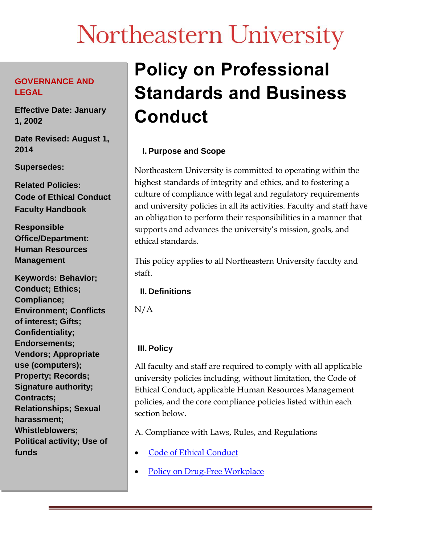# Northeastern University

#### **GOVERNANCE AND LEGAL**

**Effective Date: January 1, 2002**

**Date Revised: August 1, 2014**

**Supersedes:**

**Related Policies: Code of Ethical Conduct Faculty Handbook**

**Responsible Office/Department: Human Resources Management**

**Keywords: Behavior; Conduct; Ethics; Compliance; Environment; Conflicts of interest; Gifts; Confidentiality; Endorsements; Vendors; Appropriate use (computers); Property; Records; Signature authority; Contracts; Relationships; Sexual harassment; Whistleblowers; Political activity; Use of funds**

# **Policy on Professional Standards and Business Conduct**

# **I. Purpose and Scope**

Northeastern University is committed to operating within the highest standards of integrity and ethics, and to fostering a culture of compliance with legal and regulatory requirements and university policies in all its activities. Faculty and staff have an obligation to perform their responsibilities in a manner that supports and advances the university's mission, goals, and ethical standards.

This policy applies to all Northeastern University faculty and staff.

### **II. Definitions**

N/A

# **III. Policy**

All faculty and staff are required to comply with all applicable university policies including, without limitation, the Code of Ethical Conduct, applicable Human Resources Management policies, and the core compliance policies listed within each section below.

A. Compliance with Laws, Rules, and Regulations

- Code of Ethical [Conduct](http://www.northeastern.edu/policies/pdfs/Code_of_Ethical_Conduct.pdf)
- Policy on Drug-Free [Workplace](https://www.northeastern.edu/policies/pdfs/Policy_on_Drug-Free_Workplace_rsa1.pdf)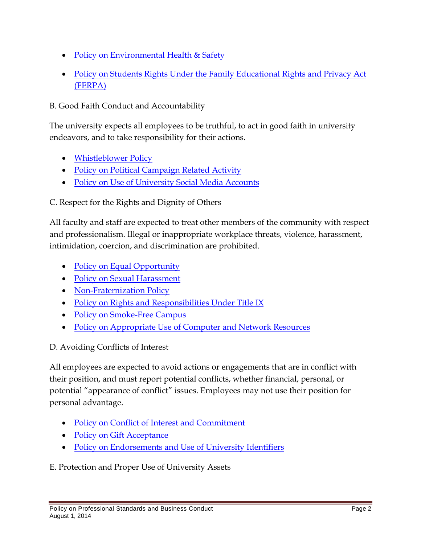- Policy on [Environmental](http://www.northeastern.edu/policies/pdfs/Policy_on_Environmental_Health_and_Safety.pdf) Health & Safety
- Policy on Students Rights Under the Family [Educational](http://www.northeastern.edu/policies/pdfs/FERPA_Policy.pdf) Rights and [Privacy](http://www.northeastern.edu/policies/pdfs/FERPA_Policy.pdf) Act [\(FERPA\)](http://www.northeastern.edu/policies/pdfs/FERPA_Policy.pdf)

B. Good Faith Conduct and Accountability

The university expects all employees to be truthful, to act in good faith in university endeavors, and to take responsibility for their actions.

- [Whistleblower](http://www.northeastern.edu/policies/pdfs/Whistleblower_Policy.pdf) Policy
- Policy on Political [Campaign](http://www.northeastern.edu/policies/pdfs/Policy_on_Political_Campaign_Related_Activity.pdf) Related Activity
- Policy on Use of [University](http://www.northeastern.edu/policies/pdfs/Policy_on_Use_of_University_Social_Media_Accounts.pdf) Social Media Accounts

C. Respect for the Rights and Dignity of Others

All faculty and staff are expected to treat other members of the community with respect and professionalism. Illegal or inappropriate workplace threats, violence, harassment, intimidation, coercion, and discrimination are prohibited.

- Policy on Equal [Opportunity](http://www.northeastern.edu/policies/pdfs/Policy_on_Equal_Opportunity.pdf)
- Policy on Sexual [Harassment](http://www.northeastern.edu/policies/pdfs/Policy_on_Sexual_Harassment.pdf)
- [Non-Fraternization](http://www.northeastern.edu/policies/pdfs/Policy_on_Non-Fraternization.pdf) Policy
- Policy on Rights and [Responsibilities](http://www.northeastern.edu/policies/pdfs/Title_IX_Policy.pdf) Under Title IX
- Policy on [Smoke-Free](http://www.northeastern.edu/policies/pdfs/Policy_on_Smoke-Free_Campus_rsa1-1.pdf) Campus
- Policy on [Appropriate](https://www.northeastern.edu/policies/pdfs/Policy_on_Appropriate_Use_of_Computer_and_Network_Resources.pdf) Use of Computer and Network Resources

#### D. Avoiding Conflicts of Interest

All employees are expected to avoid actions or engagements that are in conflict with their position, and must report potential conflicts, whether financial, personal, or potential "appearance of conflict" issues. Employees may not use their position for personal advantage.

- Policy on Conflict of Interest and [Commitment](http://www.northeastern.edu/policies/pdfs/Policy_on_Conflict_of_Interest_and_Commitment.pdf)
- Policy on Gift [Acceptance](http://www.northeastern.edu/policies/pdfs/Policy_on_Gift_Acceptance_rsa1.pdf)
- Policy on [Endorsements](http://www.northeastern.edu/policies/pdfs/Policy_on_Endorsements_and_Use_of_University_Identifiers_rsa1.pdf) and Use of University Identifiers

E. Protection and Proper Use of University Assets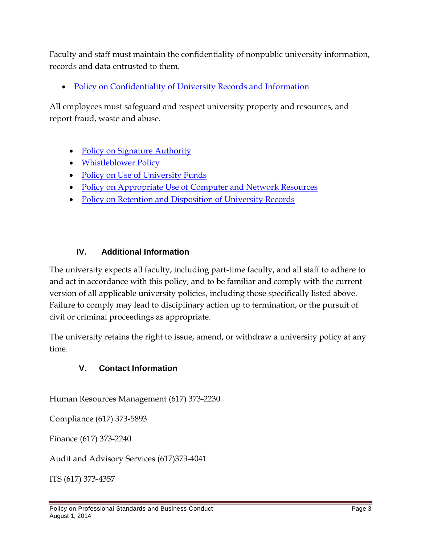Faculty and staff must maintain the confidentiality of nonpublic university information, records and data entrusted to them.

Policy on [Confidentiality](http://www.northeastern.edu/policies/pdfs/Policy_on_Confidentiality_of_University_Records_and_Information.pdf) of University Records and Information

All employees must safeguard and respect university property and resources, and report fraud, waste and abuse.

- Policy on Signature [Authority](http://www.northeastern.edu/policies/pdfs/Policy_on_Signature_Authority.pdf)
- [Whistleblower](http://www.northeastern.edu/policies/pdfs/Whistleblower_Policy.pdf) Policy
- Policy on Use of [University](http://www.northeastern.edu/policies/pdfs/Policy_on_Use_of_University_Funds.pdf) Funds
- Policy on [Appropriate](http://www.northeastern.edu/policies/pdfs/Policy_on_Appropriate_Use_of_Computer_and_Network_Resources.pdf) Use of Computer and Network Resources
- Policy on Retention and [Disposition](http://www.northeastern.edu/policies/pdfs/Policy_on_Retention_and_Disposition_of_University_Records.pdf) of University Records

#### **IV. Additional Information**

The university expects all faculty, including part-time faculty, and all staff to adhere to and act in accordance with this policy, and to be familiar and comply with the current version of all applicable university policies, including those specifically listed above. Failure to comply may lead to disciplinary action up to termination, or the pursuit of civil or criminal proceedings as appropriate.

The university retains the right to issue, amend, or withdraw a university policy at any time.

### **V. Contact Information**

Human Resources Management (617) 373-2230

Compliance (617) 373-5893

Finance (617) 373-2240

Audit and Advisory Services (617)373-4041

ITS (617) 373-4357